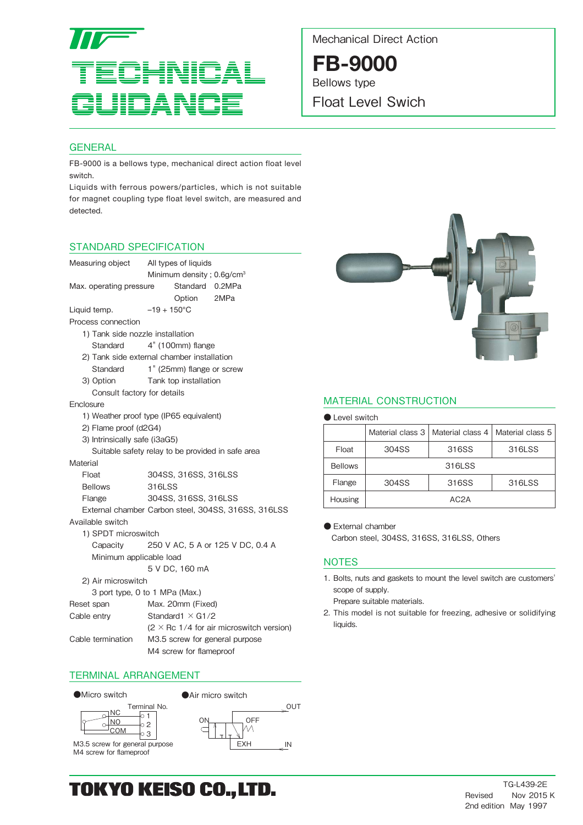

Mechanical Direct Action

**FB-9000** Bellows type

Float Level Swich

# **GENERAL**

FB-9000 is a bellows type, mechanical direct action float level switch.

Liquids with ferrous powers/particles, which is not suitable for magnet coupling type float level switch, are measured and detected.

# STANDARD SPECIFICATION



- 2) Flame proof (d2G4)
- 
- 3) Intrinsically safe (i3aG5)

Suitable safety relay to be provided in safe area

**Material** 

| Float          | 304SS, 316SS, 316LSS |  |  |  |  |
|----------------|----------------------|--|--|--|--|
| <b>Bellows</b> | 316LSS               |  |  |  |  |
| Flange         | 304SS, 316SS, 316LSS |  |  |  |  |

External chamber Carbon steel, 304SS, 316SS, 316LSS

Available switch

 1) SPDT microswitch Capacity 250 V AC, 5 A or 125 V DC, 0.4 A Minimum applicable load

5 V DC, 160 mA

2) Air microswitch

| 3 port type, 0 to 1 MPa (Max.) |  |
|--------------------------------|--|
|--------------------------------|--|

| Reset span  | Max. 20mm (Fixed)           |
|-------------|-----------------------------|
| Cable entry | Standard $1 \times$ G1/2    |
|             | $12 \times R_0$ 1/1 for air |

 $(2 \times$  Rc 1/4 for air microswitch version) Cable termination M3.5 screw for general purpose M4 screw for flameproof

TERMINAL ARRANGEMENT

 $\circ$  2  $\downarrow$ о з lo 1





M3.5 screw for general purpose M4 screw for flameproof

COM <u>NO</u>  $DMC$ 





# MATERIAL CONSTRUCTION

|  | <b>Level switch</b> |
|--|---------------------|
|  |                     |

|                | Material class 3 | Material class 4  | Material class 5 |  |  |  |  |  |  |  |
|----------------|------------------|-------------------|------------------|--|--|--|--|--|--|--|
| Float          | 304SS            | 316SS             | 316LSS           |  |  |  |  |  |  |  |
| <b>Bellows</b> | 316LSS           |                   |                  |  |  |  |  |  |  |  |
| Flange         | 304SS            | 316SS             | 316LSS           |  |  |  |  |  |  |  |
| <b>Housing</b> |                  | AC <sub>2</sub> A |                  |  |  |  |  |  |  |  |

● External chamber

Carbon steel, 304SS, 316SS, 316LSS, Others

# **NOTES**

1. Bolts, nuts and gaskets to mount the level switch are customers' scope of supply.

Prepare suitable materials.

2. This model is not suitable for freezing, adhesive or solidifying liquids.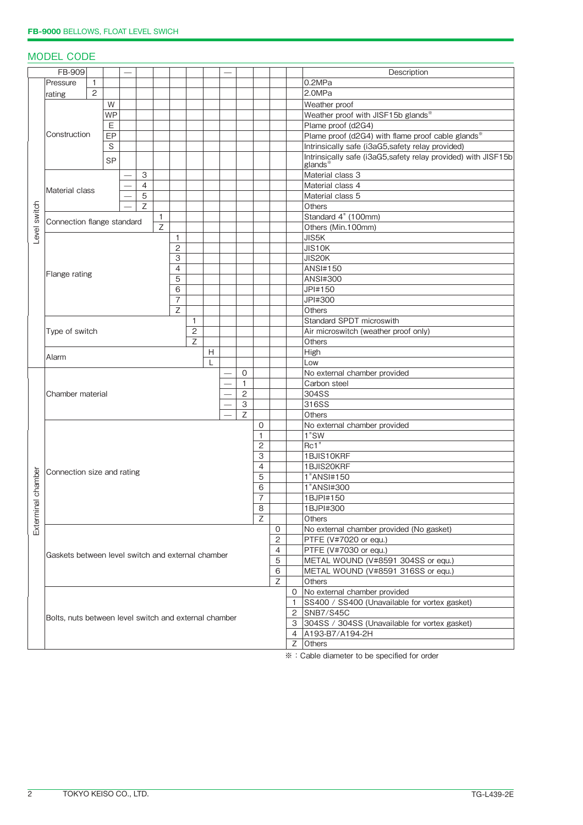# MODEL CODE

| FB-909<br>Description |                                                           |                                                   |           |   |                |   |                |              |                                              |                     |                                                 |                  |                                               |                                                                |                                                  |
|-----------------------|-----------------------------------------------------------|---------------------------------------------------|-----------|---|----------------|---|----------------|--------------|----------------------------------------------|---------------------|-------------------------------------------------|------------------|-----------------------------------------------|----------------------------------------------------------------|--------------------------------------------------|
|                       | Pressure                                                  | $\mathbf{1}$                                      |           |   |                |   |                |              |                                              |                     |                                                 |                  |                                               |                                                                | 0.2MPa                                           |
|                       | rating                                                    | $\overline{2}$                                    |           |   |                |   |                |              |                                              |                     |                                                 |                  |                                               |                                                                | 2.0MPa                                           |
|                       |                                                           |                                                   | W         |   |                |   |                |              |                                              |                     |                                                 |                  |                                               |                                                                | Weather proof                                    |
|                       |                                                           |                                                   | <b>WP</b> |   |                |   |                |              |                                              |                     |                                                 |                  |                                               |                                                                | Weather proof with JISF15b glands*               |
|                       |                                                           |                                                   | E         |   |                |   |                |              |                                              |                     |                                                 |                  |                                               |                                                                | Plame proof (d2G4)                               |
|                       | Construction                                              | EP                                                |           |   |                |   |                |              |                                              |                     |                                                 |                  |                                               | Plame proof (d2G4) with flame proof cable glands*              |                                                  |
|                       |                                                           |                                                   | S         |   |                |   |                |              |                                              |                     |                                                 |                  |                                               |                                                                | Intrinsically safe (i3aG5,safety relay provided) |
|                       |                                                           |                                                   |           |   |                |   |                |              |                                              |                     |                                                 |                  |                                               | Intrinsically safe (i3aG5, safety relay provided) with JISF15b |                                                  |
|                       |                                                           | <b>SP</b>                                         |           |   |                |   |                |              |                                              |                     |                                                 |                  |                                               | glands <sup>*</sup>                                            |                                                  |
|                       |                                                           |                                                   |           |   | 3              |   |                |              |                                              |                     |                                                 |                  |                                               |                                                                | Material class 3                                 |
|                       |                                                           |                                                   |           |   | $\overline{4}$ |   |                |              |                                              |                     |                                                 |                  |                                               |                                                                | Material class 4                                 |
|                       | Material class                                            |                                                   |           | 5 |                |   |                |              |                                              |                     |                                                 |                  |                                               | Material class 5                                               |                                                  |
|                       | $\overline{z}$                                            |                                                   |           |   | Others         |   |                |              |                                              |                     |                                                 |                  |                                               |                                                                |                                                  |
|                       |                                                           | $\mathbf{1}$                                      |           |   |                |   |                |              |                                              | Standard 4" (100mm) |                                                 |                  |                                               |                                                                |                                                  |
|                       | Level switch<br>Connection flange standard<br>$\mathsf Z$ |                                                   |           |   |                |   |                |              |                                              | Others (Min.100mm)  |                                                 |                  |                                               |                                                                |                                                  |
|                       |                                                           |                                                   |           |   |                | 1 |                |              |                                              |                     |                                                 |                  |                                               | JIS5K                                                          |                                                  |
|                       |                                                           |                                                   |           |   |                |   | 2              |              |                                              |                     |                                                 |                  |                                               |                                                                | JIS10K                                           |
|                       |                                                           |                                                   |           |   |                |   | 3              |              |                                              |                     |                                                 |                  |                                               |                                                                | JIS20K                                           |
|                       |                                                           |                                                   |           |   |                |   | $\overline{4}$ |              |                                              |                     |                                                 |                  |                                               |                                                                | <b>ANSI#150</b>                                  |
|                       | Flange rating                                             |                                                   |           |   |                |   | 5              |              |                                              |                     |                                                 |                  |                                               |                                                                | <b>ANSI#300</b>                                  |
|                       |                                                           |                                                   |           |   |                |   | 6              |              |                                              |                     |                                                 |                  |                                               |                                                                | JPI#150                                          |
|                       |                                                           |                                                   |           |   |                |   | $\overline{7}$ |              |                                              |                     |                                                 |                  |                                               |                                                                | JPI#300                                          |
|                       |                                                           |                                                   |           |   |                |   | Ζ              |              |                                              |                     |                                                 |                  |                                               |                                                                | Others                                           |
|                       |                                                           |                                                   |           |   |                |   |                | 1            |                                              |                     |                                                 |                  |                                               |                                                                | Standard SPDT microswith                         |
|                       | Type of switch                                            |                                                   |           |   |                |   |                | $\mathbf{2}$ |                                              |                     |                                                 |                  |                                               |                                                                | Air microswitch (weather proof only)             |
|                       |                                                           |                                                   |           |   |                |   |                | Z            |                                              |                     |                                                 |                  |                                               |                                                                | Others                                           |
|                       |                                                           |                                                   |           |   |                |   |                |              | H                                            |                     |                                                 |                  |                                               |                                                                |                                                  |
|                       | Alarm                                                     |                                                   |           |   |                |   |                |              | L                                            |                     |                                                 |                  |                                               |                                                                | High<br>Low                                      |
|                       |                                                           |                                                   |           |   |                |   |                |              |                                              |                     | 0                                               |                  |                                               |                                                                | No external chamber provided                     |
|                       |                                                           |                                                   |           |   |                |   |                |              |                                              |                     |                                                 |                  |                                               |                                                                |                                                  |
|                       |                                                           |                                                   |           |   |                |   |                |              |                                              |                     | $\mathbf{1}$<br>$\mathbf{2}$                    |                  |                                               |                                                                | Carbon steel                                     |
|                       | Chamber material                                          |                                                   |           |   |                |   |                |              |                                              |                     | $\overline{3}$                                  |                  |                                               |                                                                | 304SS<br>316SS                                   |
|                       |                                                           |                                                   |           |   |                |   |                |              |                                              |                     | Z                                               |                  |                                               |                                                                |                                                  |
|                       |                                                           |                                                   |           |   |                |   |                |              |                                              |                     |                                                 |                  |                                               |                                                                | Others                                           |
|                       |                                                           |                                                   |           |   |                |   |                |              |                                              |                     |                                                 | 0                |                                               |                                                                | No external chamber provided                     |
|                       |                                                           |                                                   |           |   |                |   |                |              |                                              |                     |                                                 | 1                |                                               |                                                                | 1"SW                                             |
|                       |                                                           |                                                   |           |   |                |   |                |              |                                              |                     |                                                 | $\overline{2}$   |                                               |                                                                | Rc1                                              |
|                       |                                                           |                                                   |           |   |                |   |                |              |                                              |                     |                                                 | 3                |                                               |                                                                | 1BJIS10KRF                                       |
|                       | Connection size and rating                                |                                                   |           |   |                |   |                |              |                                              |                     |                                                 | 4                |                                               |                                                                | 1BJIS20KRF                                       |
| chamber               | 5<br>6<br>7                                               |                                                   |           |   |                |   |                |              |                                              |                     |                                                 |                  |                                               | 1"ANSI#150                                                     |                                                  |
|                       |                                                           |                                                   |           |   |                |   |                |              |                                              |                     |                                                 |                  |                                               | 1"ANSI#300                                                     |                                                  |
| $\overline{\sigma}$   |                                                           |                                                   |           |   |                |   |                |              |                                              |                     |                                                 |                  |                                               | 1BJPI#150                                                      |                                                  |
| Extermin              |                                                           |                                                   |           |   |                |   |                |              |                                              |                     |                                                 | 8                |                                               |                                                                | 1BJPI#300                                        |
|                       |                                                           |                                                   |           |   |                |   |                |              |                                              |                     |                                                 | Z                |                                               |                                                                | Others                                           |
|                       |                                                           |                                                   |           |   |                |   |                |              |                                              |                     |                                                 |                  | 0                                             |                                                                | No external chamber provided (No gasket)         |
|                       |                                                           |                                                   |           |   |                |   |                |              |                                              |                     |                                                 |                  | 2                                             |                                                                | PTFE (V#7020 or equ.)                            |
|                       |                                                           | Gaskets between level switch and external chamber |           |   |                |   |                |              |                                              |                     | 4                                               |                  | PTFE (V#7030 or equ.)                         |                                                                |                                                  |
|                       |                                                           |                                                   |           |   |                |   |                |              |                                              |                     |                                                 | 5                |                                               | METAL WOUND (V#8591 304SS or equ.)                             |                                                  |
|                       |                                                           |                                                   |           |   |                |   |                |              |                                              |                     |                                                 |                  | 6                                             |                                                                | METAL WOUND (V#8591 316SS or equ.)               |
|                       |                                                           |                                                   |           |   |                |   |                |              |                                              |                     |                                                 | Z                |                                               | Others                                                         |                                                  |
|                       |                                                           |                                                   |           |   |                |   |                |              |                                              |                     |                                                 |                  |                                               | 0 No external chamber provided                                 |                                                  |
|                       | Bolts, nuts between level switch and external chamber     |                                                   |           |   |                |   |                |              |                                              |                     |                                                 | $\mathbf{1}$     | SS400 / SS400 (Unavailable for vortex gasket) |                                                                |                                                  |
|                       |                                                           |                                                   |           |   |                |   |                |              |                                              |                     | 2                                               | <b>SNB7/S45C</b> |                                               |                                                                |                                                  |
|                       |                                                           |                                                   |           |   |                |   |                |              |                                              |                     | 3 304SS / 304SS (Unavailable for vortex gasket) |                  |                                               |                                                                |                                                  |
|                       |                                                           |                                                   |           |   |                |   |                |              |                                              |                     |                                                 |                  |                                               |                                                                | 4 A193-B7/A194-2H                                |
|                       |                                                           |                                                   |           |   |                |   |                |              |                                              |                     |                                                 |                  |                                               |                                                                | Z Others                                         |
|                       |                                                           |                                                   |           |   |                |   |                |              | * : Cable diameter to be specified for order |                     |                                                 |                  |                                               |                                                                |                                                  |